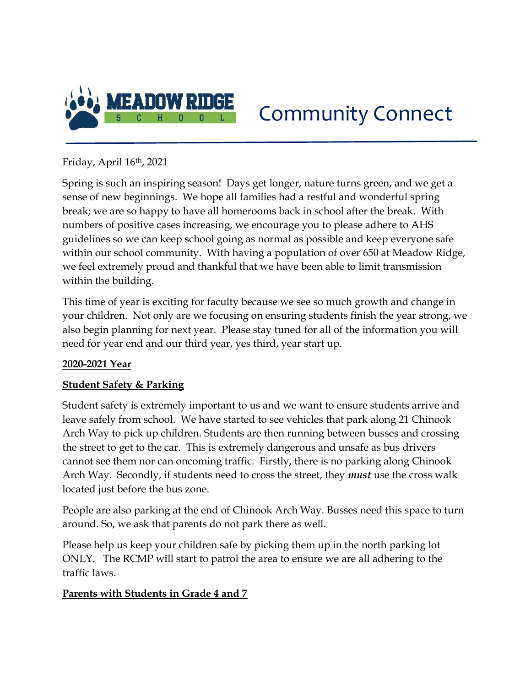

# Community Connect

Friday, April 16th, 2021

Spring is such an inspiring season! Days get longer, nature turns green, and we get a sense of new beginnings. We hope all families had a restful and wonderful spring break; we are so happy to have all homerooms back in school after the break. With numbers of positive cases increasing, we encourage you to please adhere to AHS guidelines so we can keep school going as normal as possible and keep everyone safe within our school community. With having a population of over 650 at Meadow Ridge, we feel extremely proud and thankful that we have been able to limit transmission within the building.

This time of year is exciting for faculty because we see so much growth and change in your children. Not only are we focusing on ensuring students finish the year strong, we also begin planning for next year. Please stay tuned for all of the information you will need for year end and our third year, yes third, year start up.

# 2020-2021 Year

# **Student Safety & Parking**

Student safety is extremely important to us and we want to ensure students arrive and leave safely from school. We have started to see vehicles that park along 21 Chinook Arch Way to pick up children. Students are then running between busses and crossing the street to get to the car. This is extremely dangerous and unsafe as bus drivers cannot see them nor can oncoming traffic. Firstly, there is no parking along Chinook Arch Way. Secondly, if students need to cross the street, they *must* use the cross walk located just before the bus zone.

People are also parking at the end of Chinook Arch Way. Busses need this space to turn around. So, we ask that parents do not park there as well.

Please help us keep your children safe by picking them up in the north parking lot ONLY. The RCMP will start to patrol the area to ensure we are all adhering to the traffic laws.

# Parents with Students in Grade 4 and 7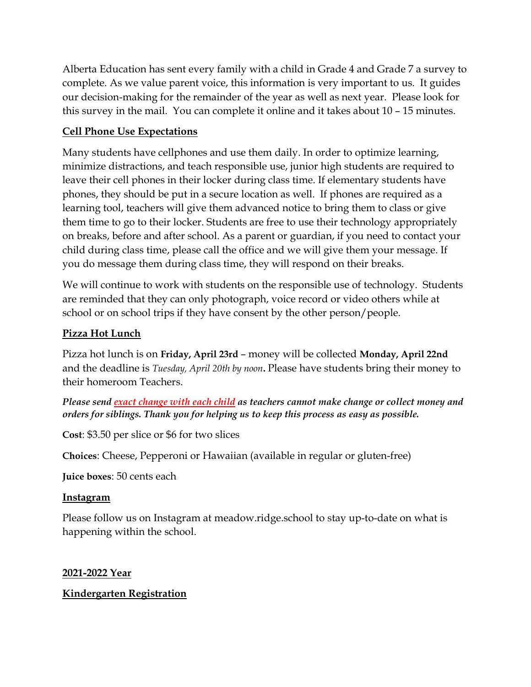Alberta Education has sent every family with a child in Grade 4 and Grade 7 a survey to complete. As we value parent voice, this information is very important to us. It guides our decision-making for the remainder of the year as well as next year. Please look for this survey in the mail. You can complete it online and it takes about 10 – 15 minutes.

## Cell Phone Use Expectations

Many students have cellphones and use them daily. In order to optimize learning, minimize distractions, and teach responsible use, junior high students are required to leave their cell phones in their locker during class time. If elementary students have phones, they should be put in a secure location as well. If phones are required as a learning tool, teachers will give them advanced notice to bring them to class or give them time to go to their locker. Students are free to use their technology appropriately on breaks, before and after school. As a parent or guardian, if you need to contact your child during class time, please call the office and we will give them your message. If you do message them during class time, they will respond on their breaks.

We will continue to work with students on the responsible use of technology. Students are reminded that they can only photograph, voice record or video others while at school or on school trips if they have consent by the other person/people.

### Pizza Hot Lunch

Pizza hot lunch is on Friday, April 23rd – money will be collected Monday, April 22nd and the deadline is Tuesday, April 20th by noon. Please have students bring their money to their homeroom Teachers.

Please send exact change with each child as teachers cannot make change or collect money and orders for siblings. Thank you for helping us to keep this process as easy as possible.

Cost: \$3.50 per slice or \$6 for two slices

Choices: Cheese, Pepperoni or Hawaiian (available in regular or gluten-free)

Juice boxes: 50 cents each

#### **Instagram**

Please follow us on Instagram at meadow.ridge.school to stay up-to-date on what is happening within the school.

2021-2022 Year

#### Kindergarten Registration